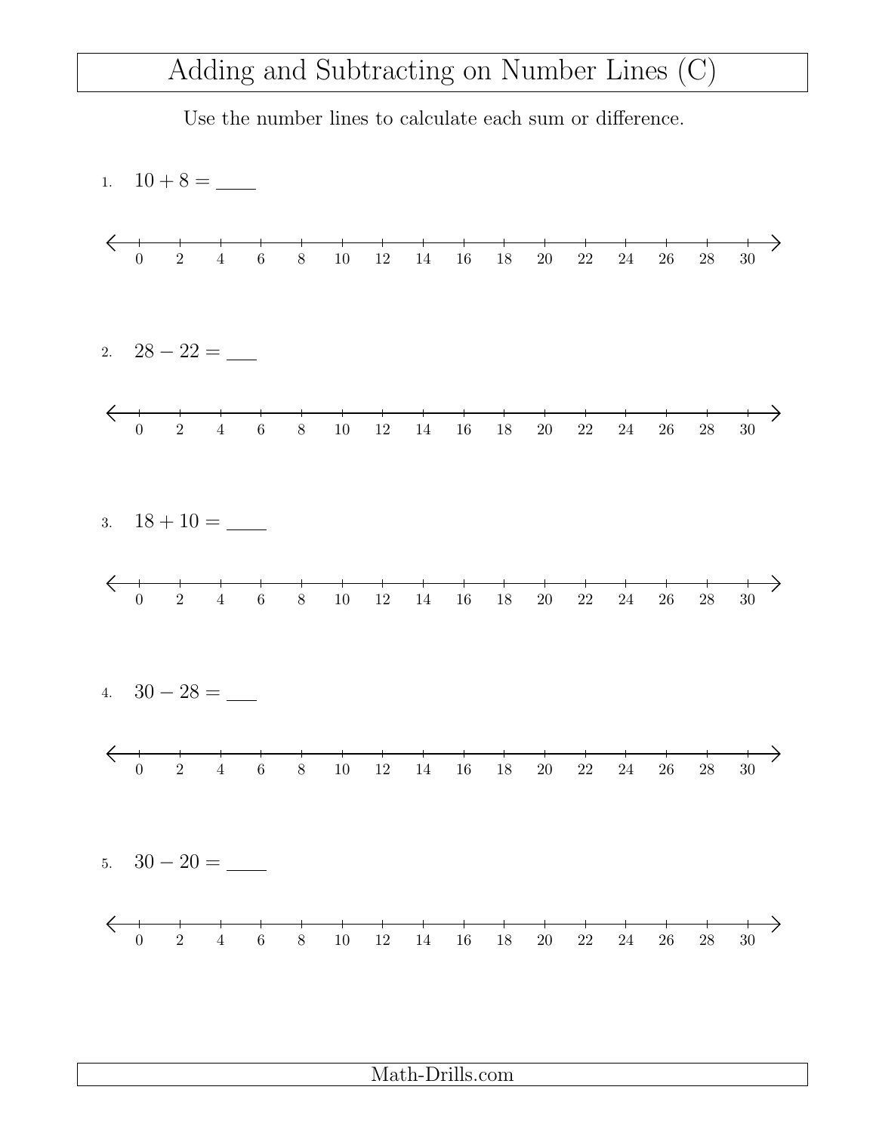## Adding and Subtracting on Number Lines (C)

Use the number lines to calculate each sum or difference.



Math-Drills.com